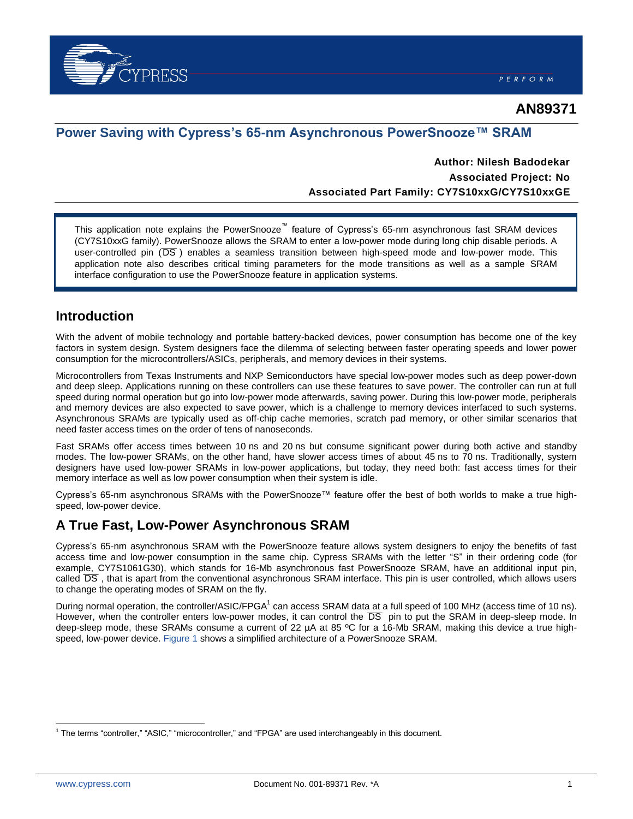

# **AN89371**

## **Power Saving with Cypress's 65-nm Asynchronous PowerSnooze™ SRAM**

### **Author: Nilesh Badodekar Associated Project: No Associated Part Family: CY7S10xxG/CY7S10xxGE**

This application note explains the PowerSnooze™ feature of Cypress's 65-nm asynchronous fast SRAM devices (CY7S10xxG family). PowerSnooze allows the SRAM to enter a low-power mode during long chip disable periods. A user-controlled pin (DS) enables a seamless transition between high-speed mode and low-power mode. This application note also describes critical timing parameters for the mode transitions as well as a sample SRAM interface configuration to use the PowerSnooze feature in application systems.

### **Introduction**

With the advent of mobile technology and portable battery-backed devices, power consumption has become one of the key factors in system design. System designers face the dilemma of selecting between faster operating speeds and lower power consumption for the microcontrollers/ASICs, peripherals, and memory devices in their systems.

Microcontrollers from Texas Instruments and NXP Semiconductors have special low-power modes such as deep power-down and deep sleep. Applications running on these controllers can use these features to save power. The controller can run at full speed during normal operation but go into low-power mode afterwards, saving power. During this low-power mode, peripherals and memory devices are also expected to save power, which is a challenge to memory devices interfaced to such systems. Asynchronous SRAMs are typically used as off-chip cache memories, scratch pad memory, or other similar scenarios that need faster access times on the order of tens of nanoseconds.

Fast SRAMs offer access times between 10 ns and 20 ns but consume significant power during both active and standby modes. The low-power SRAMs, on the other hand, have slower access times of about 45 ns to 70 ns. Traditionally, system designers have used low-power SRAMs in low-power applications, but today, they need both: fast access times for their memory interface as well as low power consumption when their system is idle.

Cypress's 65-nm asynchronous SRAMs with the PowerSnooze™ feature offer the best of both worlds to make a true highspeed, low-power device.

# **A True Fast, Low-Power Asynchronous SRAM**

Cypress's 65-nm asynchronous SRAM with the PowerSnooze feature allows system designers to enjoy the benefits of fast access time and low-power consumption in the same chip. Cypress SRAMs with the letter "S" in their ordering code (for example, CY7S1061G30), which stands for 16-Mb asynchronous fast PowerSnooze SRAM, have an additional input pin, called DS, that is apart from the conventional asynchronous SRAM interface. This pin is user controlled, which allows users to change the operating modes of SRAM on the fly.

During normal operation, the controller/ASIC/FPGA<sup>1</sup> can access SRAM data at a full speed of 100 MHz (access time of 10 ns). However, when the controller enters low-power modes, it can control the DS pin to put the SRAM in deep-sleep mode. In deep-sleep mode, these SRAMs consume a current of 22 µA at 85 ºC for a 16-Mb SRAM, making this device a true highspeed, low-power device. [Figure 1](#page-1-0) shows a simplified architecture of a PowerSnooze SRAM.

 $\overline{a}$ 

<sup>&</sup>lt;sup>1</sup> The terms "controller," "ASIC," "microcontroller," and "FPGA" are used interchangeably in this document.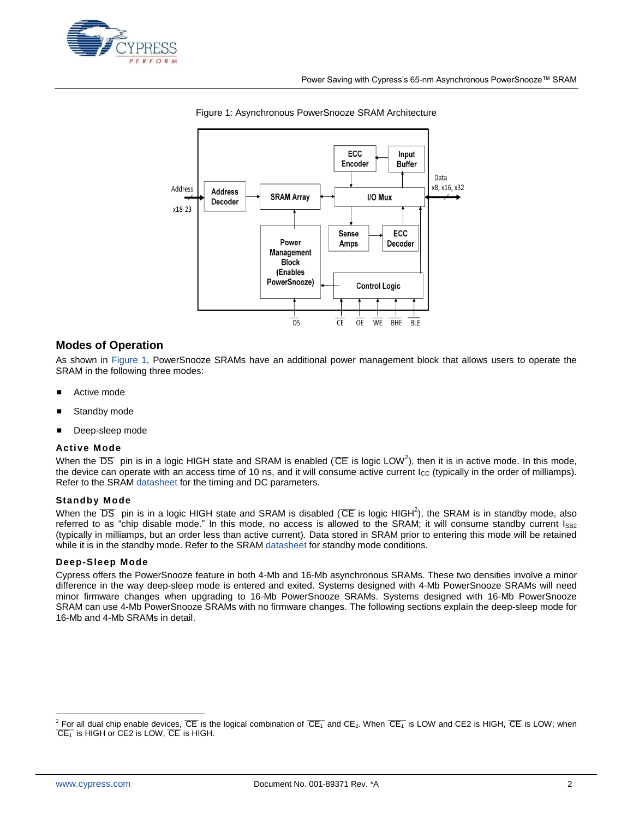<span id="page-1-0"></span>



#### Figure 1: Asynchronous PowerSnooze SRAM Architecture

#### **Modes of Operation**

As shown in [Figure 1,](#page-1-0) PowerSnooze SRAMs have an additional power management block that allows users to operate the SRAM in the following three modes:

- Active mode
- Standby mode
- Deep-sleep mode

#### **Active Mode**

[W](#page-1-1)hen the DS pin is in a logic HIGH state and SRAM is enabled ( $CE$  is logic LOW<sup>2</sup>), then it is in active mode. In this mode, the device can operate with an access time of 10 ns, and it will consume active current  $I_{\text{cc}}$  (typically in the order of milliamps). Refer to the SRAM [datasheet](http://www.cypress.com/?app=search&searchType=advanced&keyword=&rtID=107&id=5140) for the timing and DC parameters.

#### **Standby Mode**

When the DS pin is in a logic HIGH state and SRAM is disabled (CE is logic HIGH<sup>[2](#page-1-1)</sup>), the SRAM is in standby mode, also referred to as "chip disable mode." In this mode, no access is allowed to the SRAM; it will consume standby current I<sub>SB2</sub> (typically in milliamps, but an order less than active current). Data stored in SRAM prior to entering this mode will be retained while it is in the standby mode. Refer to the SRAM [datasheet](http://www.cypress.com/?app=search&searchType=advanced&keyword=&rtID=107&id=5140) for standby mode conditions.

#### **Deep-Sleep Mode**

Cypress offers the PowerSnooze feature in both 4-Mb and 16-Mb asynchronous SRAMs. These two densities involve a minor difference in the way deep-sleep mode is entered and exited. Systems designed with 4-Mb PowerSnooze SRAMs will need minor firmware changes when upgrading to 16-Mb PowerSnooze SRAMs. Systems designed with 16-Mb PowerSnooze SRAM can use 4-Mb PowerSnooze SRAMs with no firmware changes. The following sections explain the deep-sleep mode for 16-Mb and 4-Mb SRAMs in detail.

 $\overline{a}$ 

<span id="page-1-1"></span> $^2$  For all dual chip enable devices, CE is the logical combination of  $\overline{CE_1}$  and CE<sub>2</sub>. When  $\overline{CE_1}$  is LOW and CE2 is HIGH, CE is LOW; when  $\overline{C}E_1^-$  is HIGH or  $\overline{C}E_2$  is LOW,  $\overline{C}E$  is HIGH.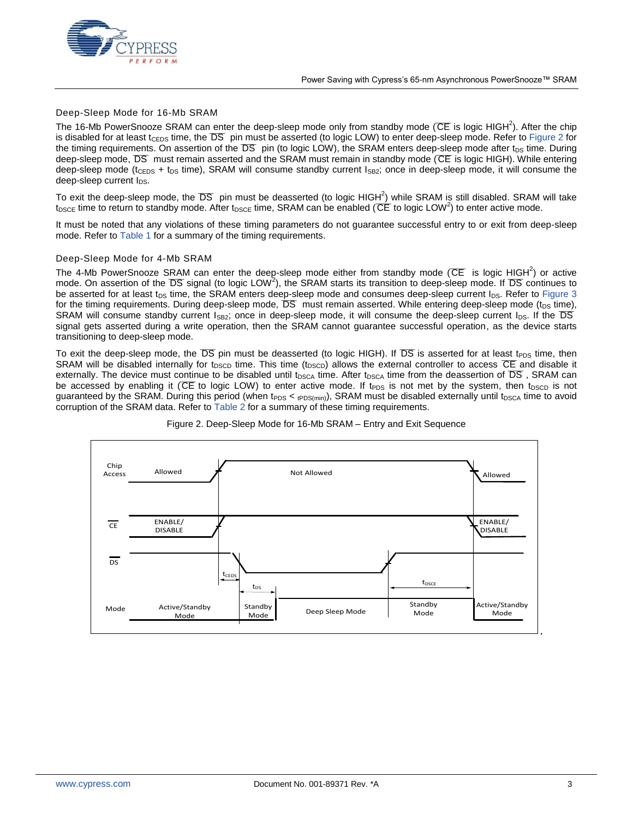

#### Deep-Sleep Mode for 16-Mb SRAM

The 16-Mb PowerSnooze SRAM can enter the deep-sleep mode only from standby mode (CE is logic [H](#page-1-1)IGH<sup>2</sup>). After the chip is disabled for at least tceps time, the DS pin must be asserted (to logic LOW) to enter deep-sleep mode. Refer to [Figure](#page-2-0) 2 for the timing requirements. On assertion of the  $DS$  pin (to logic LOW), the SRAM enters deep-sleep mode after  $t_{DS}$  time. During deep-sleep mode, DS must remain asserted and the SRAM must remain in standby mode (CE is logic HIGH). While entering deep-sleep mode (t<sub>CEDS</sub> + t<sub>DS</sub> time), SRAM will consume standby current  $I_{SB2}$ ; once in deep-sleep mode, it will consume the deep-sleep current  $I_{DS}$ .

To exit the deep-sleep mode, the DS pin must be deasserted (to logic HIGH<sup>2</sup>[\)](#page-1-1) while SRAM is still disabled. SRAM will take  $t_{\text{DSCE}}$  time to return to standby mode. After  $t_{\text{DSCE}}$  time, SRAM can be enabled (CE to logic LO[W](#page-1-1)<sup>2</sup>) to enter active mode.

It must be noted that any violations of these timing parameters do not guarantee successful entry to or exit from deep-sleep mode. Refer to [Table 1](#page-3-0) for a summary of the timing requirements.

#### Deep-Sleep Mode for 4-Mb SRAM

The 4-Mb PowerSnooze SRAM can enter the deep-sleep mode either from standby mode (CE is logic [H](#page-1-1)IGH<sup>2</sup>) or active mode. On assertion of the DS signal (to logic LOW<sup>2</sup>[\)](#page-1-1), the SRAM starts its transition to deep-sleep mode. If DS continues to be asserted for at least t<sub>DS</sub> time, the SRAM enters deep-sleep mode and consumes deep-sleep current I<sub>DS</sub>. Refer to [Figure 3](#page-3-1) for the timing requirements. During deep-sleep mode,  $DS$  must remain asserted. While entering deep-sleep mode (t<sub>DS</sub> time), SRAM will consume standby current  $I_{SB2}$ ; once in deep-sleep mode, it will consume the deep-sleep current  $I_{DS}$ . If the DS signal gets asserted during a write operation, then the SRAM cannot guarantee successful operation, as the device starts transitioning to deep-sleep mode.

To exit the deep-sleep mode, the DS pin must be deasserted (to logic HIGH). If DS is asserted for at least t<sub>PDS</sub> time, then SRAM will be disabled internally for t<sub>DSCD</sub> time. This time (t<sub>DSCD</sub>) allows the external controller to access  $\overline{CE}$  and disable it externally. The device must continue to be disabled until  $t_{DSCA}$  time. After  $t_{DSCA}$  time from the deassertion of DS , SRAM can be accessed by enabling it (CE to logic LOW) to enter active mode. If t<sub>PDS</sub> is not met by the system, then t<sub>DSCD</sub> is not guaranteed by the SRAM. During this period (when t<sub>PDS</sub> <  $t$ PDS(min)), SRAM must be disabled externally until t<sub>DSCA</sub> time to avoid corruption of the SRAM data. Refer to [Table 2](#page-3-2) for a summary of these timing requirements.

<span id="page-2-0"></span>

#### Figure 2. Deep-Sleep Mode for 16-Mb SRAM – Entry and Exit Sequence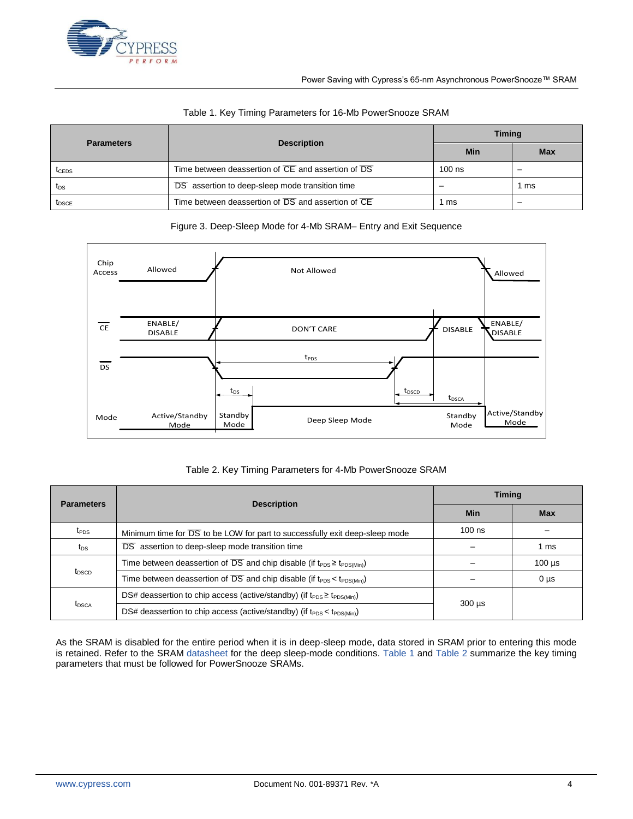

<span id="page-3-0"></span>

| <b>Parameters</b> | <b>Description</b>                                 | <b>Timing</b> |            |
|-------------------|----------------------------------------------------|---------------|------------|
|                   |                                                    | Min           | <b>Max</b> |
| <b>I</b> CEDS     | Time between deassertion of CE and assertion of DS | $100$ ns      |            |
| $t_{DS}$          | DS assertion to deep-sleep mode transition time    |               | ms         |
| <b>IDSCE</b>      | Time between deassertion of DS and assertion of CE | ms            |            |

#### Table 1. Key Timing Parameters for 16-Mb PowerSnooze SRAM

#### Figure 3. Deep-Sleep Mode for 4-Mb SRAM– Entry and Exit Sequence

<span id="page-3-1"></span>

#### Table 2. Key Timing Parameters for 4-Mb PowerSnooze SRAM

<span id="page-3-2"></span>

| <b>Parameters</b> | <b>Description</b>                                                                             | <b>Timing</b> |             |
|-------------------|------------------------------------------------------------------------------------------------|---------------|-------------|
|                   |                                                                                                | Min           | Max         |
| t <sub>PDS</sub>  | Minimum time for DS to be LOW for part to successfully exit deep-sleep mode                    | $100$ ns      |             |
| $t_{DS}$          | DS assertion to deep-sleep mode transition time                                                |               | 1 ms        |
| t <sub>DSCD</sub> | Time between deassertion of DS and chip disable (if $t_{\text{PDS}} \ge t_{\text{PDS(Min)}}$ ) |               | $100 \mu s$ |
|                   | Time between deassertion of DS and chip disable (if $t_{PDS} < t_{PDS(Min)}$ )                 |               | $0 \mu s$   |
| t <sub>DSCA</sub> | DS# deassertion to chip access (active/standby) (if $t_{PDS} \ge t_{PDS(Min)}$ )               | $300 \mu s$   |             |
|                   | DS# deassertion to chip access (active/standby) (if $t_{PDS} < t_{PDS(Min)}$ )                 |               |             |

As the SRAM is disabled for the entire period when it is in deep-sleep mode, data stored in SRAM prior to entering this mode is retained. Refer to the SRAM [datasheet](http://www.cypress.com/?app=search&searchType=advanced&keyword=&rtID=107&id=5140) for the deep sleep-mode conditions. [Table 1](#page-3-0) and [Table 2](#page-3-2) summarize the key timing parameters that must be followed for PowerSnooze SRAMs.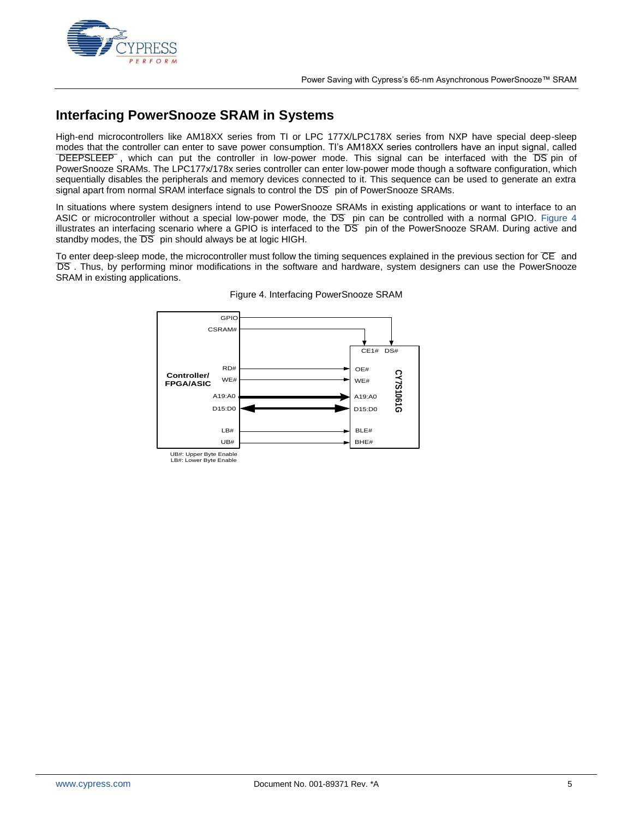

# **Interfacing PowerSnooze SRAM in Systems**

High-end microcontrollers like AM18XX series from TI or LPC 177X/LPC178X series from NXP have special deep-sleep modes that the controller can enter to save power consumption. TI's AM18XX series controllers have an input signal, called ⊤DEEPSLEEP, which can put the controller in low-power mode. This signal can be interfaced with the DS pin of PowerSnooze SRAMs. The LPC177x/178x series controller can enter low-power mode though a software configuration, which sequentially disables the peripherals and memory devices connected to it. This sequence can be used to generate an extra signal apart from normal SRAM interface signals to control the DS pin of PowerSnooze SRAMs.

In situations where system designers intend to use PowerSnooze SRAMs in existing applications or want to interface to an ASIC or microcontroller without a special low-power mode, the DS pin can be controlled with a normal GPIO. [Figure 4](#page-4-0) illustrates an interfacing scenario where a GPIO is interfaced to the DS pin of the PowerSnooze SRAM. During active and standby modes, the  $\overline{DS}$  pin should always be at logic HIGH.

<span id="page-4-0"></span>To enter deep-sleep mode, the microcontroller must follow the timing sequences explained in the previous section for CE and ¯¯¯ DS . Thus, by performing minor modifications in the software and hardware, system designers can use the PowerSnooze SRAM in existing applications.



#### Figure 4. Interfacing PowerSnooze SRAM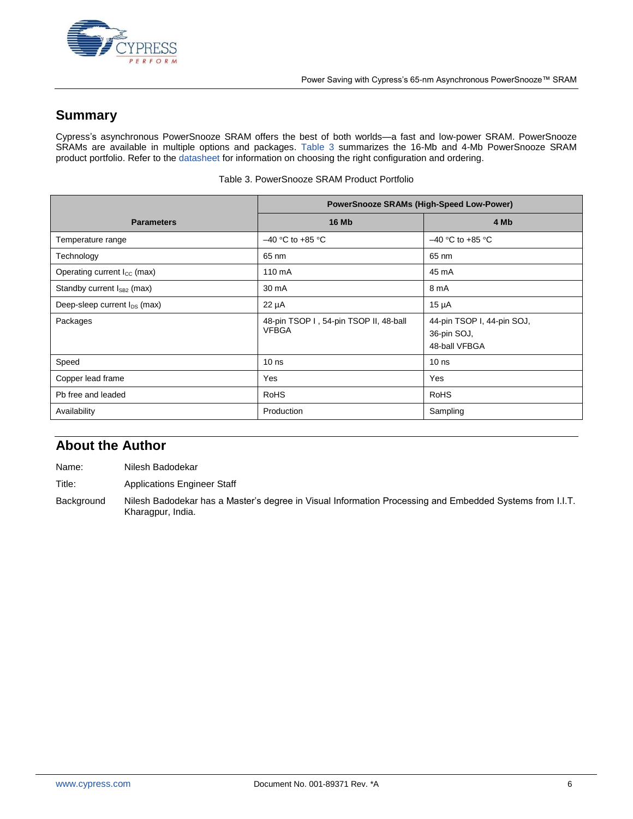

# **Summary**

Cypress's asynchronous PowerSnooze SRAM offers the best of both worlds—a fast and low-power SRAM. PowerSnooze SRAMs are available in multiple options and packages. [Table 3](#page-5-0) summarizes the 16-Mb and 4-Mb PowerSnooze SRAM product portfolio. Refer to the [datasheet](http://www.cypress.com/?app=search&searchType=advanced&keyword=&rtID=107&id=5140) for information on choosing the right configuration and ordering.

<span id="page-5-0"></span>

|                                         | <b>PowerSnooze SRAMs (High-Speed Low-Power)</b>        |                                                            |  |
|-----------------------------------------|--------------------------------------------------------|------------------------------------------------------------|--|
| <b>Parameters</b>                       | <b>16 Mb</b>                                           | 4 Mb                                                       |  |
| Temperature range                       | $-40$ °C to +85 °C                                     | $-40$ °C to +85 °C                                         |  |
| Technology                              | 65 nm                                                  | 65 nm                                                      |  |
| Operating current I <sub>cc</sub> (max) | 110 mA                                                 | 45 mA                                                      |  |
| Standby current $I_{SB2}$ (max)         | 30 mA                                                  | 8 mA                                                       |  |
| Deep-sleep current $I_{DS}$ (max)       | $22 \mu A$                                             | $15 \mu A$                                                 |  |
| Packages                                | 48-pin TSOP I, 54-pin TSOP II, 48-ball<br><b>VFBGA</b> | 44-pin TSOP I, 44-pin SOJ,<br>36-pin SOJ,<br>48-ball VFBGA |  |
| Speed                                   | 10 <sub>ns</sub>                                       | 10 <sub>ns</sub>                                           |  |
| Copper lead frame                       | Yes                                                    | Yes                                                        |  |
| Pb free and leaded                      | <b>RoHS</b>                                            | <b>RoHS</b>                                                |  |
| Availability                            | Production                                             | Sampling                                                   |  |

Table 3. PowerSnooze SRAM Product Portfolio

### **About the Author**

Name: Nilesh Badodekar

Title: Applications Engineer Staff

Background Nilesh Badodekar has a Master's degree in Visual Information Processing and Embedded Systems from I.I.T. Kharagpur, India.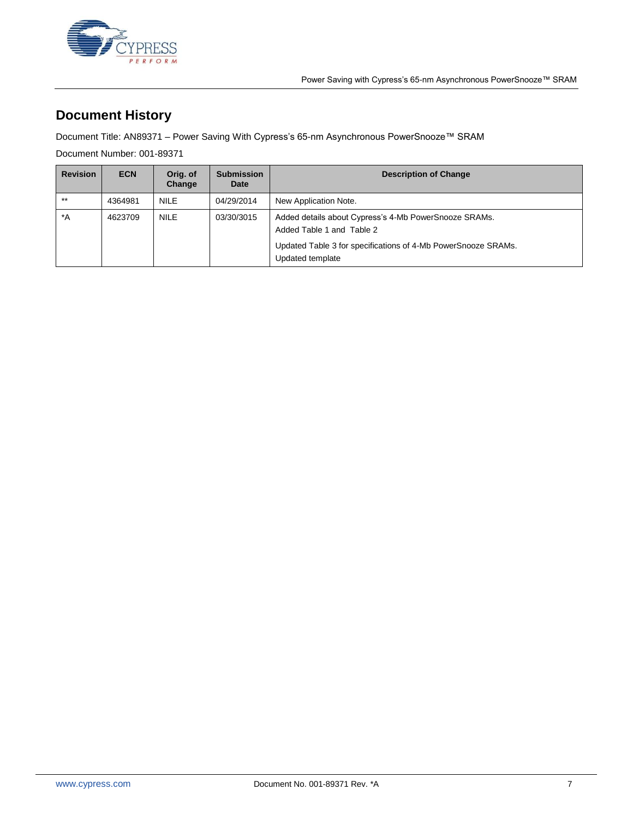

# **Document History**

Document Title: AN89371 – Power Saving With Cypress's 65-nm Asynchronous PowerSnooze™ SRAM

Document Number: 001-89371

| <b>Revision</b> | <b>ECN</b> | Orig. of<br>Change | <b>Submission</b><br>Date | <b>Description of Change</b>                                                       |
|-----------------|------------|--------------------|---------------------------|------------------------------------------------------------------------------------|
| $***$           | 4364981    | <b>NILE</b>        | 04/29/2014                | New Application Note.                                                              |
| $^*A$           | 4623709    | <b>NILE</b>        | 03/30/3015                | Added details about Cypress's 4-Mb PowerSnooze SRAMs.<br>Added Table 1 and Table 2 |
|                 |            |                    |                           | Updated Table 3 for specifications of 4-Mb PowerSnooze SRAMs.<br>Updated template  |